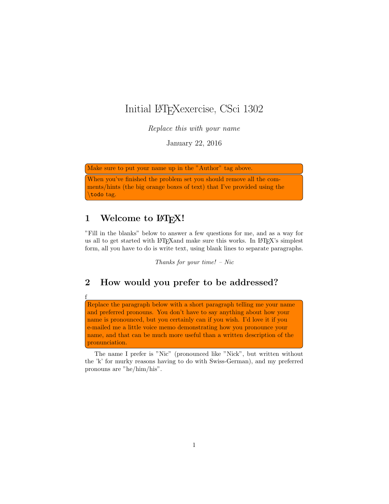# Initial LATEXexercise, CSci 1302

Replace this with your name

January 22, 2016

Make sure to put your name up in the "Author" tag above.

When you've finished the problem set you should remove all the comments/hints (the big orange boxes of text) that I've provided using the \todo tag.

#### 1 Welcome to  $\operatorname{BTF}X!$

"Fill in the blanks" below to answer a few questions for me, and as a way for us all to get started with LATEXand make sure this works. In LATEX's simplest form, all you have to do is write text, using blank lines to separate paragraphs.

Thanks for your time! – Nic

#### 2 How would you prefer to be addressed?



Replace the paragraph below with a short paragraph telling me your name and preferred pronouns. You don't have to say anything about how your name is pronounced, but you certainly can if you wish. I'd love it if you e-mailed me a little voice memo demonstrating how you pronounce your name, and that can be much more useful than a written description of the pronunciation.

The name I prefer is "Nic" (pronounced like "Nick", but written without the 'k' for murky reasons having to do with Swiss-German), and my preferred pronouns are "he/him/his".